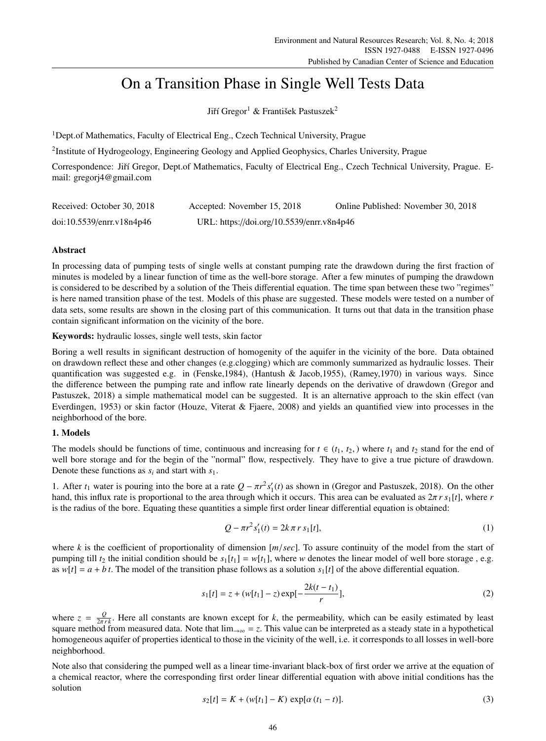# On a Transition Phase in Single Well Tests Data

Jiří Gregor<sup>1</sup> & František Pastuszek<sup>2</sup>

<sup>1</sup>Dept.of Mathematics, Faculty of Electrical Eng., Czech Technical University, Prague

<sup>2</sup>Institute of Hydrogeology, Engineering Geology and Applied Geophysics, Charles University, Prague

Correspondence: Jiří Gregor, Dept.of Mathematics, Faculty of Electrical Eng., Czech Technical University, Prague. Email: gregorj4@gmail.com

| Received: October 30, 2018 | Accepted: November 15, 2018               | Online Published: November 30, 2018 |
|----------------------------|-------------------------------------------|-------------------------------------|
| doi:10.5539/enrr.v18n4p46  | URL: https://doi.org/10.5539/enrr.v8n4p46 |                                     |

## Abstract

In processing data of pumping tests of single wells at constant pumping rate the drawdown during the first fraction of minutes is modeled by a linear function of time as the well-bore storage. After a few minutes of pumping the drawdown is considered to be described by a solution of the Theis differential equation. The time span between these two "regimes" is here named transition phase of the test. Models of this phase are suggested. These models were tested on a number of data sets, some results are shown in the closing part of this communication. It turns out that data in the transition phase contain significant information on the vicinity of the bore.

Keywords: hydraulic losses, single well tests, skin factor

Boring a well results in significant destruction of homogenity of the aquifer in the vicinity of the bore. Data obtained on drawdown reflect these and other changes (e.g.clogging) which are commonly summarized as hydraulic losses. Their quantification was suggested e.g. in (Fenske,1984), (Hantush & Jacob,1955), (Ramey,1970) in various ways. Since the difference between the pumping rate and inflow rate linearly depends on the derivative of drawdown (Gregor and Pastuszek, 2018) a simple mathematical model can be suggested. It is an alternative approach to the skin effect (van Everdingen, 1953) or skin factor (Houze, Viterat & Fjaere, 2008) and yields an quantified view into processes in the neighborhood of the bore.

# 1. Models

The models should be functions of time, continuous and increasing for  $t \in (t_1, t_2)$ , where  $t_1$  and  $t_2$  stand for the end of well bore storage and for the begin of the "normal" flow, respectively. They have to give a true picture of drawdown. Denote these functions as *s<sup>i</sup>* and start with *s*1.

1. After  $t_1$  water is pouring into the bore at a rate  $Q - \pi r^2 s_1'(t)$  as shown in (Gregor and Pastuszek, 2018). On the other hand, this influx rate is proportional to the area through which it occurs. This area can be evaluated as  $2\pi r s_1[t]$ , where *r* is the radius of the bore. Equating these quantities a simple first order linear differential equation is obtained:

$$
Q - \pi r^2 s_1'(t) = 2k \pi r s_1[t],
$$
\n(1)

where *k* is the coefficient of proportionality of dimension [*m*/*sec*]. To assure continuity of the model from the start of pumping till  $t_2$  the initial condition should be  $s_1[t_1] = w[t_1]$ , where *w* denotes the linear model of well bore storage, e.g. as  $w[t] = a + bt$ . The model of the transition phase follows as a solution  $s_1[t]$  of the above differential equation.

$$
s_1[t] = z + (w[t_1] - z) \exp[-\frac{2k(t - t_1)}{r}],
$$
\n(2)

where  $z = \frac{Q}{2\pi r k}$ . Here all constants are known except for *k*, the permeability, which can be easily estimated by least square method from measured data. Note that  $\lim_{x \to \infty} z$ . This value can be interpreted as a steady state in a hypothetical homogeneous aquifer of properties identical to those in the vicinity of the well, i.e. it corresponds to all losses in well-bore neighborhood.

Note also that considering the pumped well as a linear time-invariant black-box of first order we arrive at the equation of a chemical reactor, where the corresponding first order linear differential equation with above initial conditions has the solution

$$
s_2[t] = K + (w[t_1] - K) \exp[\alpha(t_1 - t)].
$$
\n(3)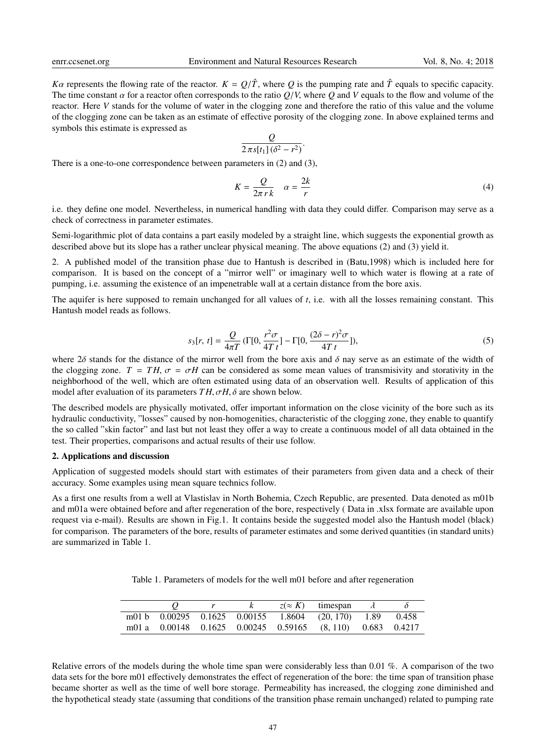*Ka* represents the flowing rate of the reactor.  $K = Q/\hat{T}$ , where *Q* is the pumping rate and  $\hat{T}$  equals to specific capacity. The time constant  $\alpha$  for a reactor often corresponds to the ratio  $Q/V$ , where  $Q$  and  $V$  equals to the flow and volume of the reactor. Here *V* stands for the volume of water in the clogging zone and therefore the ratio of this value and the volume of the clogging zone can be taken as an estimate of effective porosity of the clogging zone. In above explained terms and symbols this estimate is expressed as

$$
\frac{Q}{2\,\pi s[t_1](\delta^2-r^2)}.
$$

There is a one-to-one correspondence between parameters in (2) and (3),

$$
K = \frac{Q}{2\pi r k} \quad \alpha = \frac{2k}{r}
$$
 (4)

i.e. they define one model. Nevertheless, in numerical handling with data they could differ. Comparison may serve as a check of correctness in parameter estimates.

Semi-logarithmic plot of data contains a part easily modeled by a straight line, which suggests the exponential growth as described above but its slope has a rather unclear physical meaning. The above equations (2) and (3) yield it.

2. A published model of the transition phase due to Hantush is described in (Batu,1998) which is included here for comparison. It is based on the concept of a "mirror well" or imaginary well to which water is flowing at a rate of pumping, i.e. assuming the existence of an impenetrable wall at a certain distance from the bore axis.

The aquifer is here supposed to remain unchanged for all values of *t*, i.e. with all the losses remaining constant. This Hantush model reads as follows.

$$
s_3[r, t] = \frac{Q}{4\pi T} \left( \Gamma[0, \frac{r^2 \sigma}{4T t}] - \Gamma[0, \frac{(2\delta - r)^2 \sigma}{4T t}]\right),\tag{5}
$$

where  $2\delta$  stands for the distance of the mirror well from the bore axis and  $\delta$  nay serve as an estimate of the width of the clogging zone.  $T = TH$ ,  $\sigma = \sigma H$  can be considered as some mean values of transmisivity and storativity in the neighborhood of the well, which are often estimated using data of an observation well. Results of application of this model after evaluation of its parameters  $TH$ ,  $\sigma H$ ,  $\delta$  are shown below.

The described models are physically motivated, offer important information on the close vicinity of the bore such as its hydraulic conductivity, "losses" caused by non-homogenities, characteristic of the clogging zone, they enable to quantify the so called "skin factor" and last but not least they offer a way to create a continuous model of all data obtained in the test. Their properties, comparisons and actual results of their use follow.

#### 2. Applications and discussion

Application of suggested models should start with estimates of their parameters from given data and a check of their accuracy. Some examples using mean square technics follow.

As a first one results from a well at Vlastislav in North Bohemia, Czech Republic, are presented. Data denoted as m01b and m01a were obtained before and after regeneration of the bore, respectively ( Data in .xlsx formate are available upon request via e-mail). Results are shown in Fig.1. It contains beside the suggested model also the Hantush model (black) for comparison. The parameters of the bore, results of parameter estimates and some derived quantities (in standard units) are summarized in Table 1.

Table 1. Parameters of models for the well m01 before and after regeneration

|  |  | $z \approx K$ timespan                                     | $\lambda$ |  |
|--|--|------------------------------------------------------------|-----------|--|
|  |  | m01 b 0.00295 0.1625 0.00155 1.8604 (20, 170) 1.89 0.458   |           |  |
|  |  | m01 a 0.00148 0.1625 0.00245 0.59165 (8, 110) 0.683 0.4217 |           |  |

Relative errors of the models during the whole time span were considerably less than 0.01 %. A comparison of the two data sets for the bore m01 effectively demonstrates the effect of regeneration of the bore: the time span of transition phase became shorter as well as the time of well bore storage. Permeability has increased, the clogging zone diminished and the hypothetical steady state (assuming that conditions of the transition phase remain unchanged) related to pumping rate